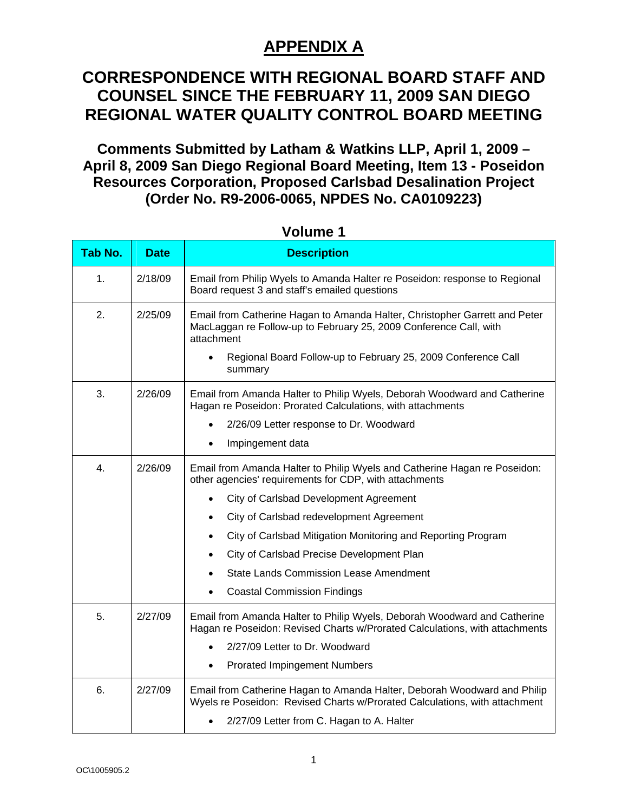#### **CORRESPONDENCE WITH REGIONAL BOARD STAFF AND COUNSEL SINCE THE FEBRUARY 11, 2009 SAN DIEGO REGIONAL WATER QUALITY CONTROL BOARD MEETING**

**Comments Submitted by Latham & Watkins LLP, April 1, 2009 – April 8, 2009 San Diego Regional Board Meeting, Item 13 - Poseidon Resources Corporation, Proposed Carlsbad Desalination Project (Order No. R9-2006-0065, NPDES No. CA0109223)** 

| Tab No. | <b>Date</b> | <b>Description</b>                                                                                                                                                                                                                                                                                                                                                                                                                                                   |
|---------|-------------|----------------------------------------------------------------------------------------------------------------------------------------------------------------------------------------------------------------------------------------------------------------------------------------------------------------------------------------------------------------------------------------------------------------------------------------------------------------------|
| 1.      | 2/18/09     | Email from Philip Wyels to Amanda Halter re Poseidon: response to Regional<br>Board request 3 and staff's emailed questions                                                                                                                                                                                                                                                                                                                                          |
| 2.      | 2/25/09     | Email from Catherine Hagan to Amanda Halter, Christopher Garrett and Peter<br>MacLaggan re Follow-up to February 25, 2009 Conference Call, with<br>attachment<br>Regional Board Follow-up to February 25, 2009 Conference Call<br>summary                                                                                                                                                                                                                            |
| 3.      | 2/26/09     | Email from Amanda Halter to Philip Wyels, Deborah Woodward and Catherine<br>Hagan re Poseidon: Prorated Calculations, with attachments<br>2/26/09 Letter response to Dr. Woodward<br>$\bullet$<br>Impingement data<br>$\bullet$                                                                                                                                                                                                                                      |
| 4.      | 2/26/09     | Email from Amanda Halter to Philip Wyels and Catherine Hagan re Poseidon:<br>other agencies' requirements for CDP, with attachments<br>City of Carlsbad Development Agreement<br>$\bullet$<br>City of Carlsbad redevelopment Agreement<br>$\bullet$<br>City of Carlsbad Mitigation Monitoring and Reporting Program<br>$\bullet$<br>City of Carlsbad Precise Development Plan<br><b>State Lands Commission Lease Amendment</b><br><b>Coastal Commission Findings</b> |
| 5.      | 2/27/09     | Email from Amanda Halter to Philip Wyels, Deborah Woodward and Catherine<br>Hagan re Poseidon: Revised Charts w/Prorated Calculations, with attachments<br>2/27/09 Letter to Dr. Woodward<br><b>Prorated Impingement Numbers</b><br>$\bullet$                                                                                                                                                                                                                        |
| 6.      | 2/27/09     | Email from Catherine Hagan to Amanda Halter, Deborah Woodward and Philip<br>Wyels re Poseidon: Revised Charts w/Prorated Calculations, with attachment<br>2/27/09 Letter from C. Hagan to A. Halter                                                                                                                                                                                                                                                                  |

**Volume 1**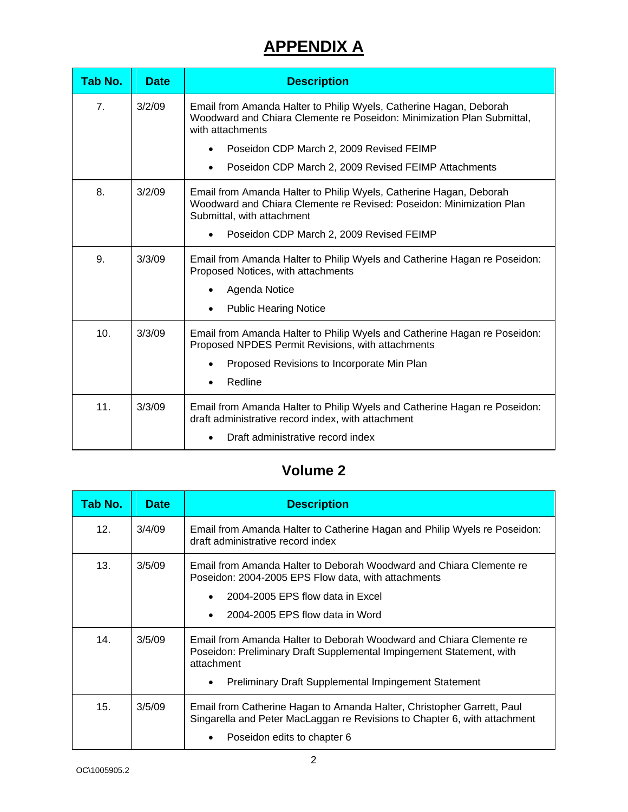| Tab No.         | <b>Date</b> | <b>Description</b>                                                                                                                                                                                                                                                   |
|-----------------|-------------|----------------------------------------------------------------------------------------------------------------------------------------------------------------------------------------------------------------------------------------------------------------------|
| 7 <sub>1</sub>  | 3/2/09      | Email from Amanda Halter to Philip Wyels, Catherine Hagan, Deborah<br>Woodward and Chiara Clemente re Poseidon: Minimization Plan Submittal,<br>with attachments<br>Poseidon CDP March 2, 2009 Revised FEIMP<br>Poseidon CDP March 2, 2009 Revised FEIMP Attachments |
|                 |             |                                                                                                                                                                                                                                                                      |
| 8.              | 3/2/09      | Email from Amanda Halter to Philip Wyels, Catherine Hagan, Deborah<br>Woodward and Chiara Clemente re Revised: Poseidon: Minimization Plan<br>Submittal, with attachment                                                                                             |
|                 |             | Poseidon CDP March 2, 2009 Revised FEIMP                                                                                                                                                                                                                             |
| 9.              | 3/3/09      | Email from Amanda Halter to Philip Wyels and Catherine Hagan re Poseidon:<br>Proposed Notices, with attachments                                                                                                                                                      |
|                 |             | Agenda Notice                                                                                                                                                                                                                                                        |
|                 |             | <b>Public Hearing Notice</b>                                                                                                                                                                                                                                         |
| 10 <sub>1</sub> | 3/3/09      | Email from Amanda Halter to Philip Wyels and Catherine Hagan re Poseidon:<br>Proposed NPDES Permit Revisions, with attachments                                                                                                                                       |
|                 |             | Proposed Revisions to Incorporate Min Plan                                                                                                                                                                                                                           |
|                 |             | Redline                                                                                                                                                                                                                                                              |
| 11.             | 3/3/09      | Email from Amanda Halter to Philip Wyels and Catherine Hagan re Poseidon:<br>draft administrative record index, with attachment                                                                                                                                      |
|                 |             | Draft administrative record index                                                                                                                                                                                                                                    |

#### **Volume 2**

| Tab No.         | <b>Date</b> | <b>Description</b>                                                                                                                                                                                                                    |
|-----------------|-------------|---------------------------------------------------------------------------------------------------------------------------------------------------------------------------------------------------------------------------------------|
| 12 <sub>1</sub> | 3/4/09      | Email from Amanda Halter to Catherine Hagan and Philip Wyels re Poseidon:<br>draft administrative record index                                                                                                                        |
| 13.             | 3/5/09      | Email from Amanda Halter to Deborah Woodward and Chiara Clemente re<br>Poseidon: 2004-2005 EPS Flow data, with attachments<br>2004-2005 EPS flow data in Excel<br>2004-2005 EPS flow data in Word                                     |
| 14.             | 3/5/09      | Email from Amanda Halter to Deborah Woodward and Chiara Clemente re<br>Poseidon: Preliminary Draft Supplemental Impingement Statement, with<br>attachment<br><b>Preliminary Draft Supplemental Impingement Statement</b><br>$\bullet$ |
| 15.             | 3/5/09      | Email from Catherine Hagan to Amanda Halter, Christopher Garrett, Paul<br>Singarella and Peter MacLaggan re Revisions to Chapter 6, with attachment<br>Poseidon edits to chapter 6                                                    |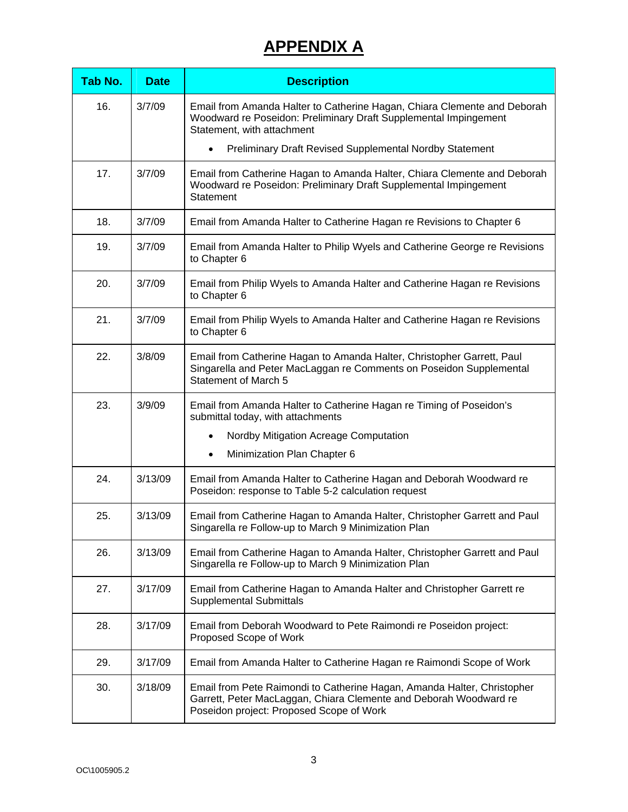| Tab No. | <b>Date</b> | <b>Description</b>                                                                                                                                                                       |
|---------|-------------|------------------------------------------------------------------------------------------------------------------------------------------------------------------------------------------|
| 16.     | 3/7/09      | Email from Amanda Halter to Catherine Hagan, Chiara Clemente and Deborah<br>Woodward re Poseidon: Preliminary Draft Supplemental Impingement<br>Statement, with attachment               |
|         |             | Preliminary Draft Revised Supplemental Nordby Statement<br>$\bullet$                                                                                                                     |
| 17.     | 3/7/09      | Email from Catherine Hagan to Amanda Halter, Chiara Clemente and Deborah<br>Woodward re Poseidon: Preliminary Draft Supplemental Impingement<br>Statement                                |
| 18.     | 3/7/09      | Email from Amanda Halter to Catherine Hagan re Revisions to Chapter 6                                                                                                                    |
| 19.     | 3/7/09      | Email from Amanda Halter to Philip Wyels and Catherine George re Revisions<br>to Chapter 6                                                                                               |
| 20.     | 3/7/09      | Email from Philip Wyels to Amanda Halter and Catherine Hagan re Revisions<br>to Chapter 6                                                                                                |
| 21.     | 3/7/09      | Email from Philip Wyels to Amanda Halter and Catherine Hagan re Revisions<br>to Chapter 6                                                                                                |
| 22.     | 3/8/09      | Email from Catherine Hagan to Amanda Halter, Christopher Garrett, Paul<br>Singarella and Peter MacLaggan re Comments on Poseidon Supplemental<br><b>Statement of March 5</b>             |
| 23.     | 3/9/09      | Email from Amanda Halter to Catherine Hagan re Timing of Poseidon's<br>submittal today, with attachments                                                                                 |
|         |             | Nordby Mitigation Acreage Computation                                                                                                                                                    |
|         |             | Minimization Plan Chapter 6<br>$\bullet$                                                                                                                                                 |
| 24.     | 3/13/09     | Email from Amanda Halter to Catherine Hagan and Deborah Woodward re<br>Poseidon: response to Table 5-2 calculation request                                                               |
| 25.     | 3/13/09     | Email from Catherine Hagan to Amanda Halter, Christopher Garrett and Paul<br>Singarella re Follow-up to March 9 Minimization Plan                                                        |
| 26.     | 3/13/09     | Email from Catherine Hagan to Amanda Halter, Christopher Garrett and Paul<br>Singarella re Follow-up to March 9 Minimization Plan                                                        |
| 27.     | 3/17/09     | Email from Catherine Hagan to Amanda Halter and Christopher Garrett re<br><b>Supplemental Submittals</b>                                                                                 |
| 28.     | 3/17/09     | Email from Deborah Woodward to Pete Raimondi re Poseidon project:<br>Proposed Scope of Work                                                                                              |
| 29.     | 3/17/09     | Email from Amanda Halter to Catherine Hagan re Raimondi Scope of Work                                                                                                                    |
| 30.     | 3/18/09     | Email from Pete Raimondi to Catherine Hagan, Amanda Halter, Christopher<br>Garrett, Peter MacLaggan, Chiara Clemente and Deborah Woodward re<br>Poseidon project: Proposed Scope of Work |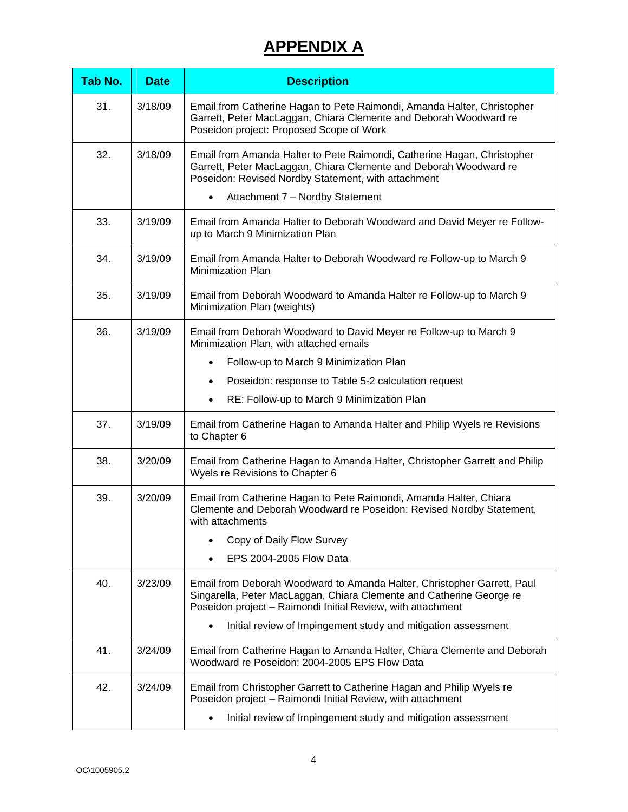| Tab No. | <b>Date</b> | <b>Description</b>                                                                                                                                                                                             |
|---------|-------------|----------------------------------------------------------------------------------------------------------------------------------------------------------------------------------------------------------------|
| 31.     | 3/18/09     | Email from Catherine Hagan to Pete Raimondi, Amanda Halter, Christopher<br>Garrett, Peter MacLaggan, Chiara Clemente and Deborah Woodward re<br>Poseidon project: Proposed Scope of Work                       |
| 32.     | 3/18/09     | Email from Amanda Halter to Pete Raimondi, Catherine Hagan, Christopher<br>Garrett, Peter MacLaggan, Chiara Clemente and Deborah Woodward re<br>Poseidon: Revised Nordby Statement, with attachment            |
|         |             | Attachment 7 - Nordby Statement<br>$\bullet$                                                                                                                                                                   |
| 33.     | 3/19/09     | Email from Amanda Halter to Deborah Woodward and David Meyer re Follow-<br>up to March 9 Minimization Plan                                                                                                     |
| 34.     | 3/19/09     | Email from Amanda Halter to Deborah Woodward re Follow-up to March 9<br>Minimization Plan                                                                                                                      |
| 35.     | 3/19/09     | Email from Deborah Woodward to Amanda Halter re Follow-up to March 9<br>Minimization Plan (weights)                                                                                                            |
| 36.     | 3/19/09     | Email from Deborah Woodward to David Meyer re Follow-up to March 9<br>Minimization Plan, with attached emails                                                                                                  |
|         |             | Follow-up to March 9 Minimization Plan<br>$\bullet$                                                                                                                                                            |
|         |             | Poseidon: response to Table 5-2 calculation request<br>$\bullet$                                                                                                                                               |
|         |             | RE: Follow-up to March 9 Minimization Plan<br>$\bullet$                                                                                                                                                        |
| 37.     | 3/19/09     | Email from Catherine Hagan to Amanda Halter and Philip Wyels re Revisions<br>to Chapter 6                                                                                                                      |
| 38.     | 3/20/09     | Email from Catherine Hagan to Amanda Halter, Christopher Garrett and Philip<br>Wyels re Revisions to Chapter 6                                                                                                 |
| 39.     | 3/20/09     | Email from Catherine Hagan to Pete Raimondi, Amanda Halter, Chiara<br>Clemente and Deborah Woodward re Poseidon: Revised Nordby Statement,<br>with attachments                                                 |
|         |             | Copy of Daily Flow Survey                                                                                                                                                                                      |
|         |             | EPS 2004-2005 Flow Data                                                                                                                                                                                        |
| 40.     | 3/23/09     | Email from Deborah Woodward to Amanda Halter, Christopher Garrett, Paul<br>Singarella, Peter MacLaggan, Chiara Clemente and Catherine George re<br>Poseidon project - Raimondi Initial Review, with attachment |
|         |             | Initial review of Impingement study and mitigation assessment                                                                                                                                                  |
| 41.     | 3/24/09     | Email from Catherine Hagan to Amanda Halter, Chiara Clemente and Deborah<br>Woodward re Poseidon: 2004-2005 EPS Flow Data                                                                                      |
| 42.     | 3/24/09     | Email from Christopher Garrett to Catherine Hagan and Philip Wyels re<br>Poseidon project - Raimondi Initial Review, with attachment                                                                           |
|         |             | Initial review of Impingement study and mitigation assessment<br>$\bullet$                                                                                                                                     |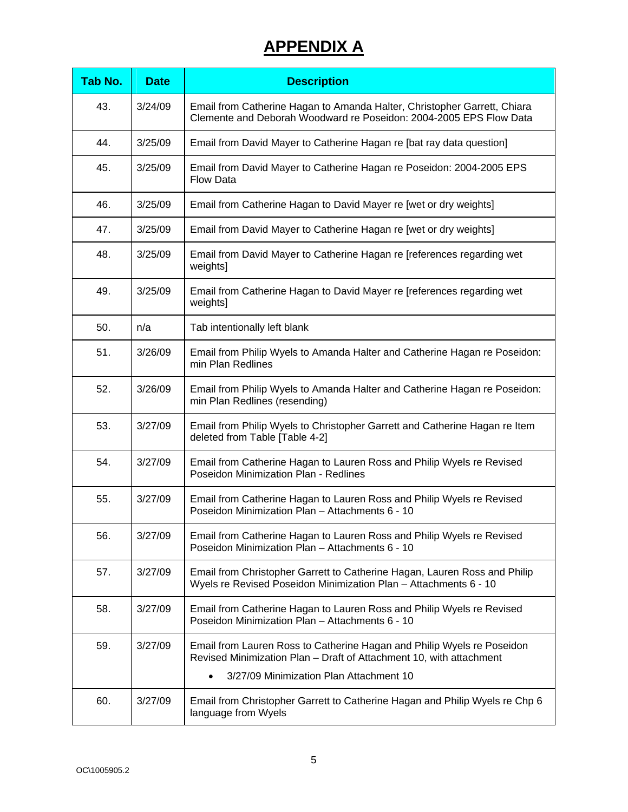| Tab No. | <b>Date</b> | <b>Description</b>                                                                                                                             |
|---------|-------------|------------------------------------------------------------------------------------------------------------------------------------------------|
| 43.     | 3/24/09     | Email from Catherine Hagan to Amanda Halter, Christopher Garrett, Chiara<br>Clemente and Deborah Woodward re Poseidon: 2004-2005 EPS Flow Data |
| 44.     | 3/25/09     | Email from David Mayer to Catherine Hagan re [bat ray data question]                                                                           |
| 45.     | 3/25/09     | Email from David Mayer to Catherine Hagan re Poseidon: 2004-2005 EPS<br><b>Flow Data</b>                                                       |
| 46.     | 3/25/09     | Email from Catherine Hagan to David Mayer re [wet or dry weights]                                                                              |
| 47.     | 3/25/09     | Email from David Mayer to Catherine Hagan re [wet or dry weights]                                                                              |
| 48.     | 3/25/09     | Email from David Mayer to Catherine Hagan re [references regarding wet<br>weights]                                                             |
| 49.     | 3/25/09     | Email from Catherine Hagan to David Mayer re [references regarding wet<br>weights]                                                             |
| 50.     | n/a         | Tab intentionally left blank                                                                                                                   |
| 51.     | 3/26/09     | Email from Philip Wyels to Amanda Halter and Catherine Hagan re Poseidon:<br>min Plan Redlines                                                 |
| 52.     | 3/26/09     | Email from Philip Wyels to Amanda Halter and Catherine Hagan re Poseidon:<br>min Plan Redlines (resending)                                     |
| 53.     | 3/27/09     | Email from Philip Wyels to Christopher Garrett and Catherine Hagan re Item<br>deleted from Table [Table 4-2]                                   |
| 54.     | 3/27/09     | Email from Catherine Hagan to Lauren Ross and Philip Wyels re Revised<br>Poseidon Minimization Plan - Redlines                                 |
| 55.     | 3/27/09     | Email from Catherine Hagan to Lauren Ross and Philip Wyels re Revised<br>Poseidon Minimization Plan - Attachments 6 - 10                       |
| 56.     | 3/27/09     | Email from Catherine Hagan to Lauren Ross and Philip Wyels re Revised<br>Poseidon Minimization Plan - Attachments 6 - 10                       |
| 57.     | 3/27/09     | Email from Christopher Garrett to Catherine Hagan, Lauren Ross and Philip<br>Wyels re Revised Poseidon Minimization Plan - Attachments 6 - 10  |
| 58.     | 3/27/09     | Email from Catherine Hagan to Lauren Ross and Philip Wyels re Revised<br>Poseidon Minimization Plan - Attachments 6 - 10                       |
| 59.     | 3/27/09     | Email from Lauren Ross to Catherine Hagan and Philip Wyels re Poseidon<br>Revised Minimization Plan - Draft of Attachment 10, with attachment  |
|         |             | 3/27/09 Minimization Plan Attachment 10<br>$\bullet$                                                                                           |
| 60.     | 3/27/09     | Email from Christopher Garrett to Catherine Hagan and Philip Wyels re Chp 6<br>language from Wyels                                             |